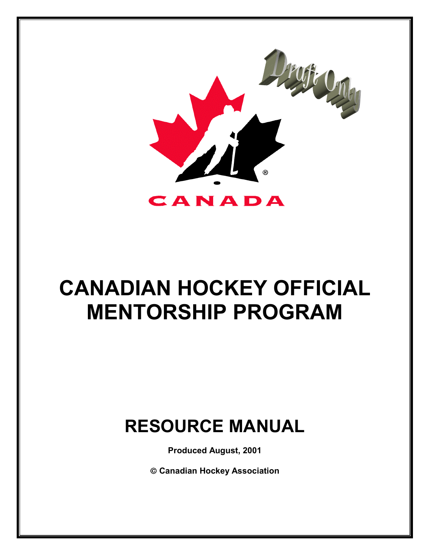

# **CANADIAN HOCKEY OFFICIAL MENTORSHIP PROGRAM**

**RESOURCE MANUAL** 

**Produced August, 2001** 

 **Canadian Hockey Association**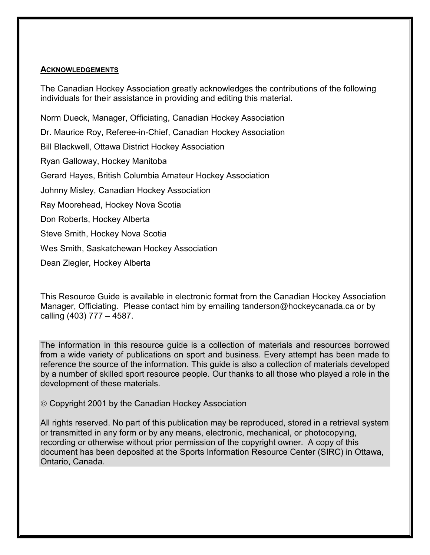#### **ACKNOWLEDGEMENTS**

The Canadian Hockey Association greatly acknowledges the contributions of the following individuals for their assistance in providing and editing this material.

Norm Dueck, Manager, Officiating, Canadian Hockey Association

Dr. Maurice Roy, Referee-in-Chief, Canadian Hockey Association

Bill Blackwell, Ottawa District Hockey Association

Ryan Galloway, Hockey Manitoba

Gerard Hayes, British Columbia Amateur Hockey Association

Johnny Misley, Canadian Hockey Association

Ray Moorehead, Hockey Nova Scotia

Don Roberts, Hockey Alberta

Steve Smith, Hockey Nova Scotia

Wes Smith, Saskatchewan Hockey Association

Dean Ziegler, Hockey Alberta

This Resource Guide is available in electronic format from the Canadian Hockey Association Manager, Officiating. Please contact him by emailing tanderson@hockeycanada.ca or by calling (403) 777 – 4587.

The information in this resource guide is a collection of materials and resources borrowed from a wide variety of publications on sport and business. Every attempt has been made to reference the source of the information. This guide is also a collection of materials developed by a number of skilled sport resource people. Our thanks to all those who played a role in the development of these materials.

Copyright 2001 by the Canadian Hockey Association

All rights reserved. No part of this publication may be reproduced, stored in a retrieval system or transmitted in any form or by any means, electronic, mechanical, or photocopying, recording or otherwise without prior permission of the copyright owner. A copy of this document has been deposited at the Sports Information Resource Center (SIRC) in Ottawa, Ontario, Canada.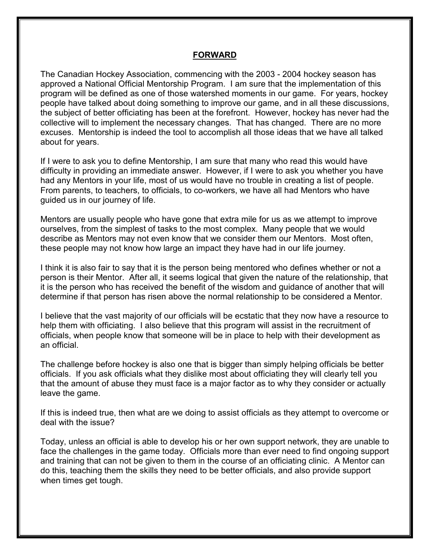#### **FORWARD**

The Canadian Hockey Association, commencing with the 2003 - 2004 hockey season has approved a National Official Mentorship Program. I am sure that the implementation of this program will be defined as one of those watershed moments in our game. For years, hockey people have talked about doing something to improve our game, and in all these discussions, the subject of better officiating has been at the forefront. However, hockey has never had the collective will to implement the necessary changes. That has changed. There are no more excuses. Mentorship is indeed the tool to accomplish all those ideas that we have all talked about for years.

If I were to ask you to define Mentorship, I am sure that many who read this would have difficulty in providing an immediate answer. However, if I were to ask you whether you have had any Mentors in your life, most of us would have no trouble in creating a list of people. From parents, to teachers, to officials, to co-workers, we have all had Mentors who have guided us in our journey of life.

Mentors are usually people who have gone that extra mile for us as we attempt to improve ourselves, from the simplest of tasks to the most complex. Many people that we would describe as Mentors may not even know that we consider them our Mentors. Most often, these people may not know how large an impact they have had in our life journey.

I think it is also fair to say that it is the person being mentored who defines whether or not a person is their Mentor. After all, it seems logical that given the nature of the relationship, that it is the person who has received the benefit of the wisdom and guidance of another that will determine if that person has risen above the normal relationship to be considered a Mentor.

I believe that the vast majority of our officials will be ecstatic that they now have a resource to help them with officiating. I also believe that this program will assist in the recruitment of officials, when people know that someone will be in place to help with their development as an official.

The challenge before hockey is also one that is bigger than simply helping officials be better officials. If you ask officials what they dislike most about officiating they will clearly tell you that the amount of abuse they must face is a major factor as to why they consider or actually leave the game.

If this is indeed true, then what are we doing to assist officials as they attempt to overcome or deal with the issue?

Today, unless an official is able to develop his or her own support network, they are unable to face the challenges in the game today. Officials more than ever need to find ongoing support and training that can not be given to them in the course of an officiating clinic. A Mentor can do this, teaching them the skills they need to be better officials, and also provide support when times get tough.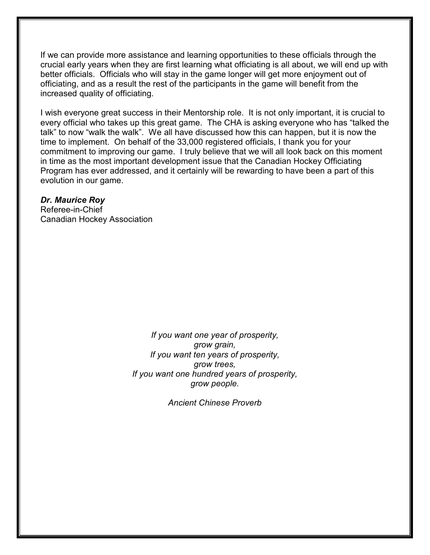If we can provide more assistance and learning opportunities to these officials through the crucial early years when they are first learning what officiating is all about, we will end up with better officials. Officials who will stay in the game longer will get more enjoyment out of officiating, and as a result the rest of the participants in the game will benefit from the increased quality of officiating.

I wish everyone great success in their Mentorship role. It is not only important, it is crucial to every official who takes up this great game. The CHA is asking everyone who has "talked the talk" to now "walk the walk". We all have discussed how this can happen, but it is now the time to implement. On behalf of the 33,000 registered officials, I thank you for your commitment to improving our game. I truly believe that we will all look back on this moment in time as the most important development issue that the Canadian Hockey Officiating Program has ever addressed, and it certainly will be rewarding to have been a part of this evolution in our game.

#### *Dr. Maurice Roy*

Referee-in-Chief Canadian Hockey Association

> *If you want one year of prosperity, grow grain, If you want ten years of prosperity, grow trees, If you want one hundred years of prosperity, grow people.*

> > *Ancient Chinese Proverb*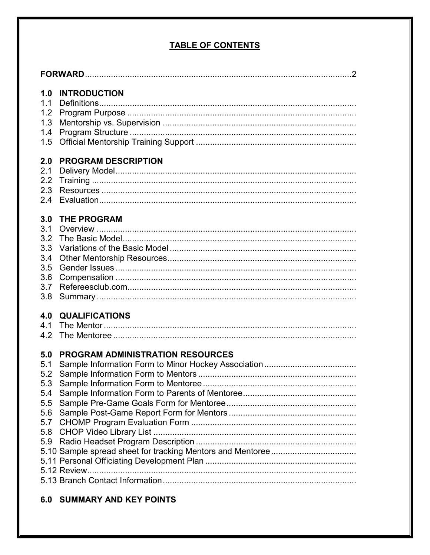#### **TABLE OF CONTENTS**

| 1.0                                                                | <b>INTRODUCTION</b>                     |
|--------------------------------------------------------------------|-----------------------------------------|
| 1.1                                                                |                                         |
| 1.2                                                                |                                         |
| 1.3                                                                |                                         |
| 1.4                                                                |                                         |
| 1.5                                                                |                                         |
| 2.0                                                                | <b>PROGRAM DESCRIPTION</b>              |
| 2.1                                                                |                                         |
| 2.2                                                                |                                         |
| 2.3                                                                |                                         |
| 2.4                                                                |                                         |
| 3.0                                                                | <b>THE PROGRAM</b>                      |
| 3.1                                                                |                                         |
| 3.2                                                                |                                         |
| 3.3                                                                |                                         |
| 3.4                                                                |                                         |
| 3.5                                                                |                                         |
| 3.6                                                                |                                         |
| 3.7                                                                |                                         |
| 3.8                                                                |                                         |
| 4.0                                                                | <b>QUALIFICATIONS</b>                   |
| 4.1                                                                |                                         |
| 4.2                                                                |                                         |
| 5.0<br>5.1<br>5.2<br>5.3<br>5.4<br>5.5<br>5.6<br>5.7<br>5.8<br>5.9 | <b>PROGRAM ADMINISTRATION RESOURCES</b> |

#### **6.0 SUMMARY AND KEY POINTS**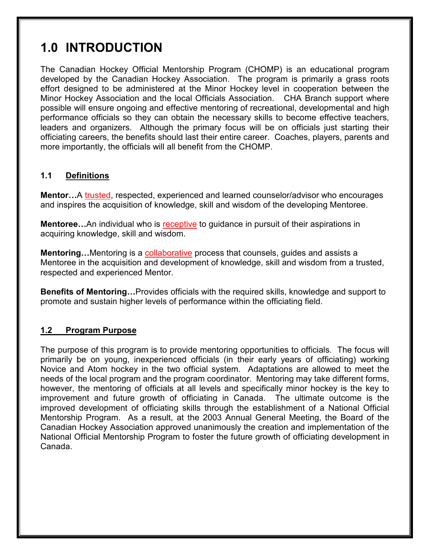### **1.0 INTRODUCTION**

The Canadian Hockey Official Mentorship Program (CHOMP) is an educational program developed by the Canadian Hockey Association. The program is primarily a grass roots effort designed to be administered at the Minor Hockey level in cooperation between the Minor Hockey Association and the local Officials Association. CHA Branch support where possible will ensure ongoing and effective mentoring of recreational, developmental and high performance officials so they can obtain the necessary skills to become effective teachers, leaders and organizers. Although the primary focus will be on officials just starting their officiating careers, the benefits should last their entire career. Coaches, players, parents and more importantly, the officials will all benefit from the CHOMP.

#### **1.1 Definitions**

**Mentor…**A trusted, respected, experienced and learned counselor/advisor who encourages and inspires the acquisition of knowledge, skill and wisdom of the developing Mentoree.

**Mentoree…**An individual who is receptive to guidance in pursuit of their aspirations in acquiring knowledge, skill and wisdom.

**Mentoring…**Mentoring is a collaborative process that counsels, guides and assists a Mentoree in the acquisition and development of knowledge, skill and wisdom from a trusted, respected and experienced Mentor.

**Benefits of Mentoring…**Provides officials with the required skills, knowledge and support to promote and sustain higher levels of performance within the officiating field.

#### **1.2 Program Purpose**

The purpose of this program is to provide mentoring opportunities to officials. The focus will primarily be on young, inexperienced officials (in their early years of officiating) working Novice and Atom hockey in the two official system. Adaptations are allowed to meet the needs of the local program and the program coordinator. Mentoring may take different forms, however, the mentoring of officials at all levels and specifically minor hockey is the key to improvement and future growth of officiating in Canada. The ultimate outcome is the improved development of officiating skills through the establishment of a National Official Mentorship Program. As a result, at the 2003 Annual General Meeting, the Board of the Canadian Hockey Association approved unanimously the creation and implementation of the National Official Mentorship Program to foster the future growth of officiating development in Canada.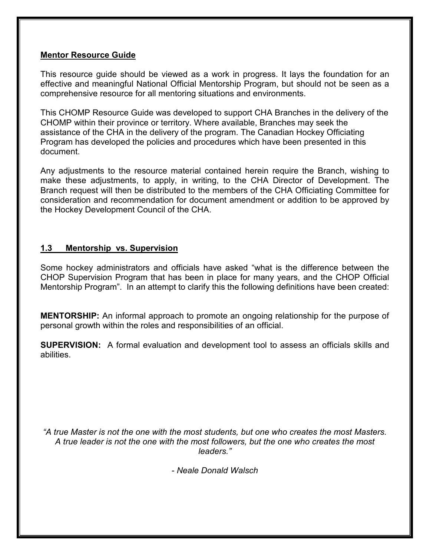#### **Mentor Resource Guide**

This resource guide should be viewed as a work in progress. It lays the foundation for an effective and meaningful National Official Mentorship Program, but should not be seen as a comprehensive resource for all mentoring situations and environments.

This CHOMP Resource Guide was developed to support CHA Branches in the delivery of the CHOMP within their province or territory. Where available, Branches may seek the assistance of the CHA in the delivery of the program. The Canadian Hockey Officiating Program has developed the policies and procedures which have been presented in this document.

Any adjustments to the resource material contained herein require the Branch, wishing to make these adjustments, to apply, in writing, to the CHA Director of Development. The Branch request will then be distributed to the members of the CHA Officiating Committee for consideration and recommendation for document amendment or addition to be approved by the Hockey Development Council of the CHA.

#### **1.3 Mentorship vs. Supervision**

Some hockey administrators and officials have asked "what is the difference between the CHOP Supervision Program that has been in place for many years, and the CHOP Official Mentorship Program". In an attempt to clarify this the following definitions have been created:

**MENTORSHIP:** An informal approach to promote an ongoing relationship for the purpose of personal growth within the roles and responsibilities of an official.

**SUPERVISION:** A formal evaluation and development tool to assess an officials skills and abilities.

*"A true Master is not the one with the most students, but one who creates the most Masters. A true leader is not the one with the most followers, but the one who creates the most leaders."* 

*- Neale Donald Walsch*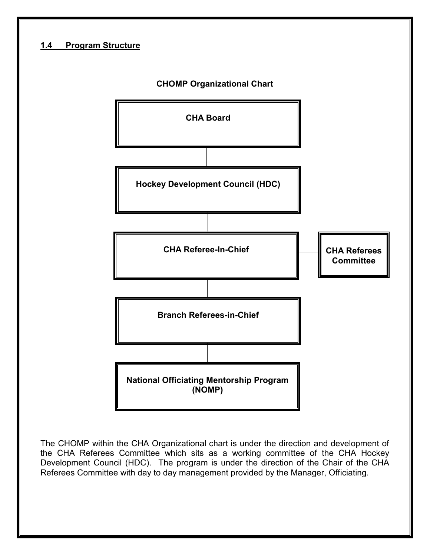#### **1.4 Program Structure**

#### **CHOMP Organizational Chart**



The CHOMP within the CHA Organizational chart is under the direction and development of the CHA Referees Committee which sits as a working committee of the CHA Hockey Development Council (HDC). The program is under the direction of the Chair of the CHA Referees Committee with day to day management provided by the Manager, Officiating.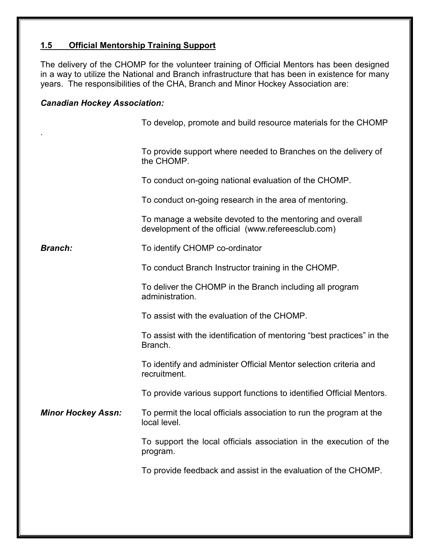#### **1.5 Official Mentorship Training Support**

The delivery of the CHOMP for the volunteer training of Official Mentors has been designed in a way to utilize the National and Branch infrastructure that has been in existence for many years. The responsibilities of the CHA, Branch and Minor Hockey Association are:

#### *Canadian Hockey Association:*

|                           | To develop, promote and build resource materials for the CHOMP                                                 |
|---------------------------|----------------------------------------------------------------------------------------------------------------|
|                           | To provide support where needed to Branches on the delivery of<br>the CHOMP.                                   |
|                           | To conduct on-going national evaluation of the CHOMP.                                                          |
|                           | To conduct on-going research in the area of mentoring.                                                         |
|                           | To manage a website devoted to the mentoring and overall<br>development of the official (www.refereesclub.com) |
| <b>Branch:</b>            | To identify CHOMP co-ordinator                                                                                 |
|                           | To conduct Branch Instructor training in the CHOMP.                                                            |
|                           | To deliver the CHOMP in the Branch including all program<br>administration.                                    |
|                           | To assist with the evaluation of the CHOMP.                                                                    |
|                           | To assist with the identification of mentoring "best practices" in the<br>Branch.                              |
|                           | To identify and administer Official Mentor selection criteria and<br>recruitment.                              |
|                           | To provide various support functions to identified Official Mentors.                                           |
| <b>Minor Hockey Assn:</b> | To permit the local officials association to run the program at the<br>local level.                            |
|                           | To support the local officials association in the execution of the<br>program.                                 |
|                           | To provide feedback and assist in the evaluation of the CHOMP.                                                 |
|                           |                                                                                                                |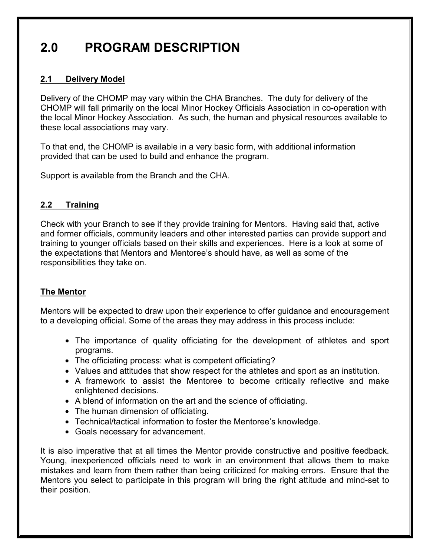### **2.0 PROGRAM DESCRIPTION**

#### **2.1 Delivery Model**

Delivery of the CHOMP may vary within the CHA Branches. The duty for delivery of the CHOMP will fall primarily on the local Minor Hockey Officials Association in co-operation with the local Minor Hockey Association. As such, the human and physical resources available to these local associations may vary.

To that end, the CHOMP is available in a very basic form, with additional information provided that can be used to build and enhance the program.

Support is available from the Branch and the CHA.

#### **2.2 Training**

Check with your Branch to see if they provide training for Mentors. Having said that, active and former officials, community leaders and other interested parties can provide support and training to younger officials based on their skills and experiences. Here is a look at some of the expectations that Mentors and Mentoree's should have, as well as some of the responsibilities they take on.

#### **The Mentor**

Mentors will be expected to draw upon their experience to offer guidance and encouragement to a developing official. Some of the areas they may address in this process include:

- The importance of quality officiating for the development of athletes and sport programs.
- The officiating process: what is competent officiating?
- Values and attitudes that show respect for the athletes and sport as an institution.
- A framework to assist the Mentoree to become critically reflective and make enlightened decisions.
- A blend of information on the art and the science of officiating.
- The human dimension of officiating.
- Technical/tactical information to foster the Mentoree's knowledge.
- Goals necessary for advancement.

It is also imperative that at all times the Mentor provide constructive and positive feedback. Young, inexperienced officials need to work in an environment that allows them to make mistakes and learn from them rather than being criticized for making errors. Ensure that the Mentors you select to participate in this program will bring the right attitude and mind-set to their position.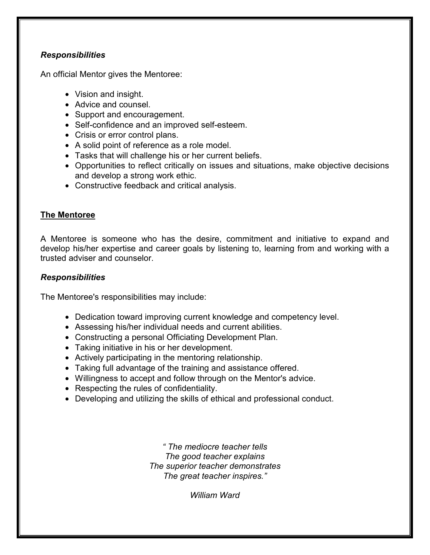#### *Responsibilities*

An official Mentor gives the Mentoree:

- Vision and insight.
- Advice and counsel.
- Support and encouragement.
- Self-confidence and an improved self-esteem.
- Crisis or error control plans.
- A solid point of reference as a role model.
- Tasks that will challenge his or her current beliefs.
- Opportunities to reflect critically on issues and situations, make objective decisions and develop a strong work ethic.
- Constructive feedback and critical analysis.

#### **The Mentoree**

A Mentoree is someone who has the desire, commitment and initiative to expand and develop his/her expertise and career goals by listening to, learning from and working with a trusted adviser and counselor.

#### *Responsibilities*

The Mentoree's responsibilities may include:

- Dedication toward improving current knowledge and competency level.
- Assessing his/her individual needs and current abilities.
- Constructing a personal Officiating Development Plan.
- Taking initiative in his or her development.
- Actively participating in the mentoring relationship.
- Taking full advantage of the training and assistance offered.
- Willingness to accept and follow through on the Mentor's advice.
- Respecting the rules of confidentiality.
- Developing and utilizing the skills of ethical and professional conduct.

*" The mediocre teacher tells The good teacher explains The superior teacher demonstrates The great teacher inspires."* 

*William Ward*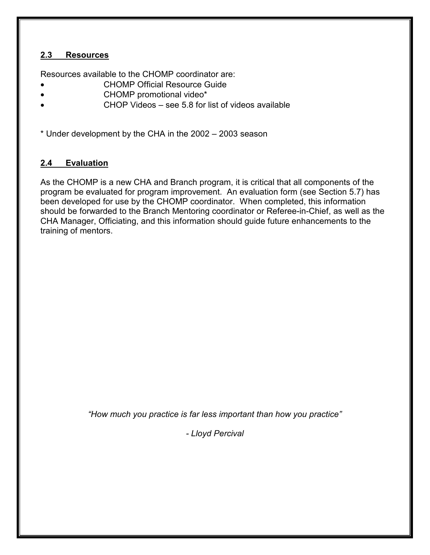#### **2.3 Resources**

Resources available to the CHOMP coordinator are:

- CHOMP Official Resource Guide
- CHOMP promotional video\*
- CHOP Videos see 5.8 for list of videos available

\* Under development by the CHA in the 2002 – 2003 season

#### **2.4 Evaluation**

As the CHOMP is a new CHA and Branch program, it is critical that all components of the program be evaluated for program improvement. An evaluation form (see Section 5.7) has been developed for use by the CHOMP coordinator. When completed, this information should be forwarded to the Branch Mentoring coordinator or Referee-in-Chief, as well as the CHA Manager, Officiating, and this information should guide future enhancements to the training of mentors.

*"How much you practice is far less important than how you practice"* 

*- Lloyd Percival*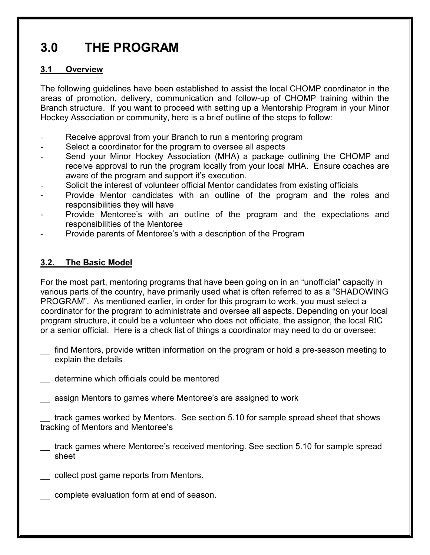# **3.0 THE PROGRAM**

#### **3.1 Overview**

The following guidelines have been established to assist the local CHOMP coordinator in the areas of promotion, delivery, communication and follow-up of CHOMP training within the Branch structure. If you want to proceed with setting up a Mentorship Program in your Minor Hockey Association or community, here is a brief outline of the steps to follow:

- Receive approval from your Branch to run a mentoring program
- Select a coordinator for the program to oversee all aspects
- Send your Minor Hockey Association (MHA) a package outlining the CHOMP and receive approval to run the program locally from your local MHA. Ensure coaches are aware of the program and support it's execution.
- Solicit the interest of volunteer official Mentor candidates from existing officials
- Provide Mentor candidates with an outline of the program and the roles and responsibilities they will have
- Provide Mentoree's with an outline of the program and the expectations and responsibilities of the Mentoree
- Provide parents of Mentoree's with a description of the Program

#### **3.2. The Basic Model**

For the most part, mentoring programs that have been going on in an "unofficial" capacity in various parts of the country, have primarily used what is often referred to as a "SHADOWING PROGRAM". As mentioned earlier, in order for this program to work, you must select a coordinator for the program to administrate and oversee all aspects. Depending on your local program structure, it could be a volunteer who does not officiate, the assignor, the local RIC or a senior official. Here is a check list of things a coordinator may need to do or oversee:

- \_\_ find Mentors, provide written information on the program or hold a pre-season meeting to explain the details
- determine which officials could be mentored
- assign Mentors to games where Mentoree's are assigned to work

track games worked by Mentors. See section 5.10 for sample spread sheet that shows tracking of Mentors and Mentoree's

- track games where Mentoree's received mentoring. See section 5.10 for sample spread sheet
- \_\_ collect post game reports from Mentors.
- \_\_ complete evaluation form at end of season.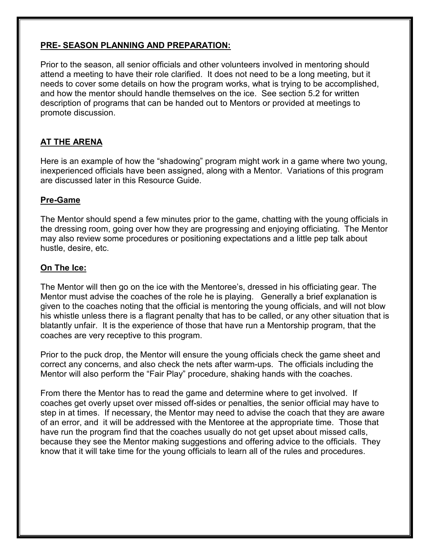#### **PRE- SEASON PLANNING AND PREPARATION:**

Prior to the season, all senior officials and other volunteers involved in mentoring should attend a meeting to have their role clarified. It does not need to be a long meeting, but it needs to cover some details on how the program works, what is trying to be accomplished, and how the mentor should handle themselves on the ice. See section 5.2 for written description of programs that can be handed out to Mentors or provided at meetings to promote discussion.

#### **AT THE ARENA**

Here is an example of how the "shadowing" program might work in a game where two young, inexperienced officials have been assigned, along with a Mentor. Variations of this program are discussed later in this Resource Guide.

#### **Pre-Game**

The Mentor should spend a few minutes prior to the game, chatting with the young officials in the dressing room, going over how they are progressing and enjoying officiating. The Mentor may also review some procedures or positioning expectations and a little pep talk about hustle, desire, etc.

#### **On The Ice:**

The Mentor will then go on the ice with the Mentoree's, dressed in his officiating gear. The Mentor must advise the coaches of the role he is playing. Generally a brief explanation is given to the coaches noting that the official is mentoring the young officials, and will not blow his whistle unless there is a flagrant penalty that has to be called, or any other situation that is blatantly unfair. It is the experience of those that have run a Mentorship program, that the coaches are very receptive to this program.

Prior to the puck drop, the Mentor will ensure the young officials check the game sheet and correct any concerns, and also check the nets after warm-ups. The officials including the Mentor will also perform the "Fair Play" procedure, shaking hands with the coaches.

From there the Mentor has to read the game and determine where to get involved. If coaches get overly upset over missed off-sides or penalties, the senior official may have to step in at times. If necessary, the Mentor may need to advise the coach that they are aware of an error, and it will be addressed with the Mentoree at the appropriate time. Those that have run the program find that the coaches usually do not get upset about missed calls, because they see the Mentor making suggestions and offering advice to the officials. They know that it will take time for the young officials to learn all of the rules and procedures.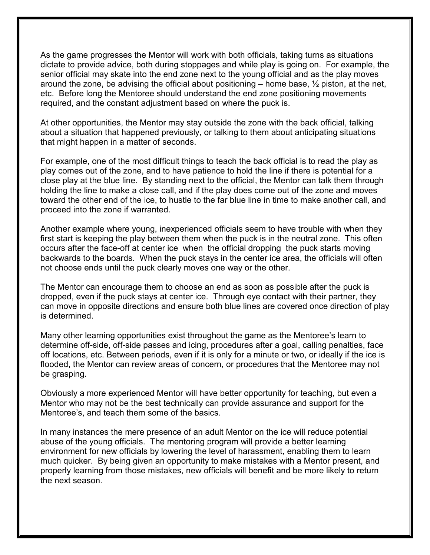As the game progresses the Mentor will work with both officials, taking turns as situations dictate to provide advice, both during stoppages and while play is going on. For example, the senior official may skate into the end zone next to the young official and as the play moves around the zone, be advising the official about positioning – home base, ½ piston, at the net, etc. Before long the Mentoree should understand the end zone positioning movements required, and the constant adjustment based on where the puck is.

At other opportunities, the Mentor may stay outside the zone with the back official, talking about a situation that happened previously, or talking to them about anticipating situations that might happen in a matter of seconds.

For example, one of the most difficult things to teach the back official is to read the play as play comes out of the zone, and to have patience to hold the line if there is potential for a close play at the blue line. By standing next to the official, the Mentor can talk them through holding the line to make a close call, and if the play does come out of the zone and moves toward the other end of the ice, to hustle to the far blue line in time to make another call, and proceed into the zone if warranted.

Another example where young, inexperienced officials seem to have trouble with when they first start is keeping the play between them when the puck is in the neutral zone. This often occurs after the face-off at center ice when the official dropping the puck starts moving backwards to the boards. When the puck stays in the center ice area, the officials will often not choose ends until the puck clearly moves one way or the other.

The Mentor can encourage them to choose an end as soon as possible after the puck is dropped, even if the puck stays at center ice. Through eye contact with their partner, they can move in opposite directions and ensure both blue lines are covered once direction of play is determined.

Many other learning opportunities exist throughout the game as the Mentoree's learn to determine off-side, off-side passes and icing, procedures after a goal, calling penalties, face off locations, etc. Between periods, even if it is only for a minute or two, or ideally if the ice is flooded, the Mentor can review areas of concern, or procedures that the Mentoree may not be grasping.

Obviously a more experienced Mentor will have better opportunity for teaching, but even a Mentor who may not be the best technically can provide assurance and support for the Mentoree's, and teach them some of the basics.

In many instances the mere presence of an adult Mentor on the ice will reduce potential abuse of the young officials. The mentoring program will provide a better learning environment for new officials by lowering the level of harassment, enabling them to learn much quicker. By being given an opportunity to make mistakes with a Mentor present, and properly learning from those mistakes, new officials will benefit and be more likely to return the next season.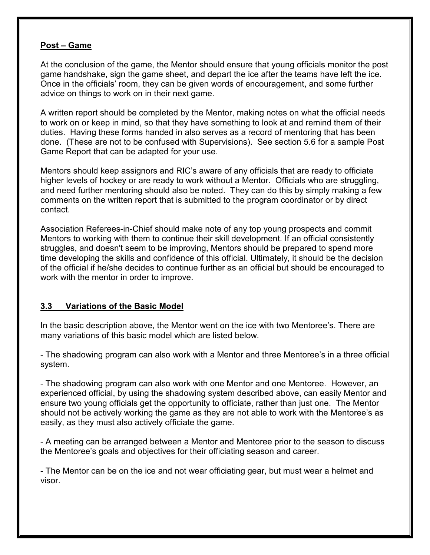#### **Post – Game**

At the conclusion of the game, the Mentor should ensure that young officials monitor the post game handshake, sign the game sheet, and depart the ice after the teams have left the ice. Once in the officials' room, they can be given words of encouragement, and some further advice on things to work on in their next game.

A written report should be completed by the Mentor, making notes on what the official needs to work on or keep in mind, so that they have something to look at and remind them of their duties. Having these forms handed in also serves as a record of mentoring that has been done. (These are not to be confused with Supervisions). See section 5.6 for a sample Post Game Report that can be adapted for your use.

Mentors should keep assignors and RIC's aware of any officials that are ready to officiate higher levels of hockey or are ready to work without a Mentor. Officials who are struggling, and need further mentoring should also be noted. They can do this by simply making a few comments on the written report that is submitted to the program coordinator or by direct contact.

Association Referees-in-Chief should make note of any top young prospects and commit Mentors to working with them to continue their skill development. If an official consistently struggles, and doesn't seem to be improving, Mentors should be prepared to spend more time developing the skills and confidence of this official. Ultimately, it should be the decision of the official if he/she decides to continue further as an official but should be encouraged to work with the mentor in order to improve.

#### **3.3 Variations of the Basic Model**

In the basic description above, the Mentor went on the ice with two Mentoree's. There are many variations of this basic model which are listed below.

- The shadowing program can also work with a Mentor and three Mentoree's in a three official system.

- The shadowing program can also work with one Mentor and one Mentoree. However, an experienced official, by using the shadowing system described above, can easily Mentor and ensure two young officials get the opportunity to officiate, rather than just one. The Mentor should not be actively working the game as they are not able to work with the Mentoree's as easily, as they must also actively officiate the game.

- A meeting can be arranged between a Mentor and Mentoree prior to the season to discuss the Mentoree's goals and objectives for their officiating season and career.

- The Mentor can be on the ice and not wear officiating gear, but must wear a helmet and visor.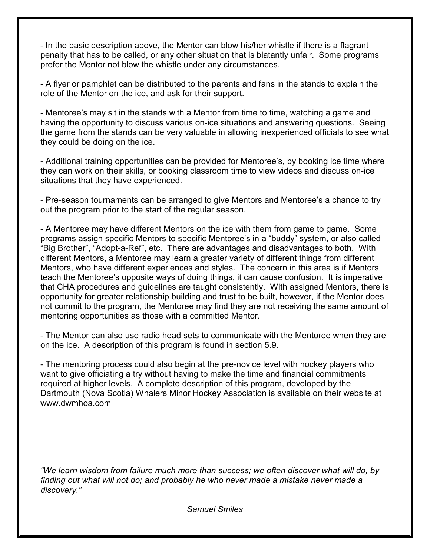- In the basic description above, the Mentor can blow his/her whistle if there is a flagrant penalty that has to be called, or any other situation that is blatantly unfair. Some programs prefer the Mentor not blow the whistle under any circumstances.

- A flyer or pamphlet can be distributed to the parents and fans in the stands to explain the role of the Mentor on the ice, and ask for their support.

- Mentoree's may sit in the stands with a Mentor from time to time, watching a game and having the opportunity to discuss various on-ice situations and answering questions. Seeing the game from the stands can be very valuable in allowing inexperienced officials to see what they could be doing on the ice.

- Additional training opportunities can be provided for Mentoree's, by booking ice time where they can work on their skills, or booking classroom time to view videos and discuss on-ice situations that they have experienced.

- Pre-season tournaments can be arranged to give Mentors and Mentoree's a chance to try out the program prior to the start of the regular season.

- A Mentoree may have different Mentors on the ice with them from game to game. Some programs assign specific Mentors to specific Mentoree's in a "buddy" system, or also called "Big Brother", "Adopt-a-Ref", etc. There are advantages and disadvantages to both. With different Mentors, a Mentoree may learn a greater variety of different things from different Mentors, who have different experiences and styles. The concern in this area is if Mentors teach the Mentoree's opposite ways of doing things, it can cause confusion. It is imperative that CHA procedures and guidelines are taught consistently. With assigned Mentors, there is opportunity for greater relationship building and trust to be built, however, if the Mentor does not commit to the program, the Mentoree may find they are not receiving the same amount of mentoring opportunities as those with a committed Mentor.

- The Mentor can also use radio head sets to communicate with the Mentoree when they are on the ice. A description of this program is found in section 5.9.

- The mentoring process could also begin at the pre-novice level with hockey players who want to give officiating a try without having to make the time and financial commitments required at higher levels. A complete description of this program, developed by the Dartmouth (Nova Scotia) Whalers Minor Hockey Association is available on their website at www.dwmhoa.com

*"We learn wisdom from failure much more than success; we often discover what will do, by finding out what will not do; and probably he who never made a mistake never made a discovery."* 

*Samuel Smiles*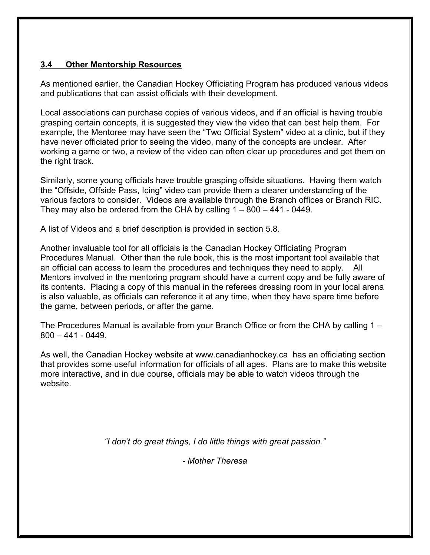#### **3.4 Other Mentorship Resources**

As mentioned earlier, the Canadian Hockey Officiating Program has produced various videos and publications that can assist officials with their development.

Local associations can purchase copies of various videos, and if an official is having trouble grasping certain concepts, it is suggested they view the video that can best help them. For example, the Mentoree may have seen the "Two Official System" video at a clinic, but if they have never officiated prior to seeing the video, many of the concepts are unclear. After working a game or two, a review of the video can often clear up procedures and get them on the right track.

Similarly, some young officials have trouble grasping offside situations. Having them watch the "Offside, Offside Pass, Icing" video can provide them a clearer understanding of the various factors to consider. Videos are available through the Branch offices or Branch RIC. They may also be ordered from the CHA by calling 1 – 800 – 441 - 0449.

A list of Videos and a brief description is provided in section 5.8.

Another invaluable tool for all officials is the Canadian Hockey Officiating Program Procedures Manual. Other than the rule book, this is the most important tool available that an official can access to learn the procedures and techniques they need to apply. All Mentors involved in the mentoring program should have a current copy and be fully aware of its contents. Placing a copy of this manual in the referees dressing room in your local arena is also valuable, as officials can reference it at any time, when they have spare time before the game, between periods, or after the game.

The Procedures Manual is available from your Branch Office or from the CHA by calling 1 – 800 – 441 - 0449.

As well, the Canadian Hockey website at www.canadianhockey.ca has an officiating section that provides some useful information for officials of all ages. Plans are to make this website more interactive, and in due course, officials may be able to watch videos through the website.

*"I don't do great things, I do little things with great passion."* 

*- Mother Theresa*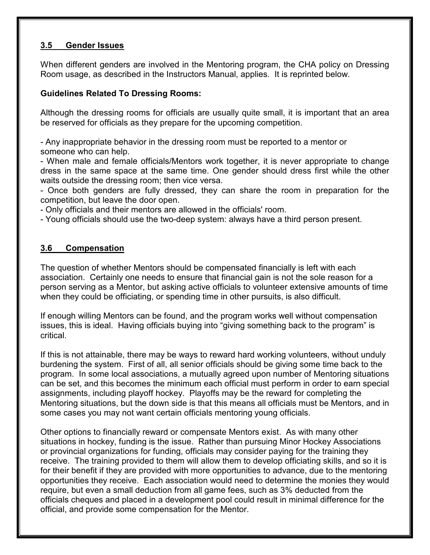#### **3.5 Gender Issues**

When different genders are involved in the Mentoring program, the CHA policy on Dressing Room usage, as described in the Instructors Manual, applies. It is reprinted below.

#### **Guidelines Related To Dressing Rooms:**

Although the dressing rooms for officials are usually quite small, it is important that an area be reserved for officials as they prepare for the upcoming competition.

- Any inappropriate behavior in the dressing room must be reported to a mentor or someone who can help.

- When male and female officials/Mentors work together, it is never appropriate to change dress in the same space at the same time. One gender should dress first while the other waits outside the dressing room; then vice versa.

- Once both genders are fully dressed, they can share the room in preparation for the competition, but leave the door open.

- Only officials and their mentors are allowed in the officials' room.

- Young officials should use the two-deep system: always have a third person present.

#### **3.6 Compensation**

The question of whether Mentors should be compensated financially is left with each association. Certainly one needs to ensure that financial gain is not the sole reason for a person serving as a Mentor, but asking active officials to volunteer extensive amounts of time when they could be officiating, or spending time in other pursuits, is also difficult.

If enough willing Mentors can be found, and the program works well without compensation issues, this is ideal. Having officials buying into "giving something back to the program" is critical.

If this is not attainable, there may be ways to reward hard working volunteers, without unduly burdening the system. First of all, all senior officials should be giving some time back to the program. In some local associations, a mutually agreed upon number of Mentoring situations can be set, and this becomes the minimum each official must perform in order to earn special assignments, including playoff hockey. Playoffs may be the reward for completing the Mentoring situations, but the down side is that this means all officials must be Mentors, and in some cases you may not want certain officials mentoring young officials.

Other options to financially reward or compensate Mentors exist. As with many other situations in hockey, funding is the issue. Rather than pursuing Minor Hockey Associations or provincial organizations for funding, officials may consider paying for the training they receive. The training provided to them will allow them to develop officiating skills, and so it is for their benefit if they are provided with more opportunities to advance, due to the mentoring opportunities they receive. Each association would need to determine the monies they would require, but even a small deduction from all game fees, such as 3% deducted from the officials cheques and placed in a development pool could result in minimal difference for the official, and provide some compensation for the Mentor.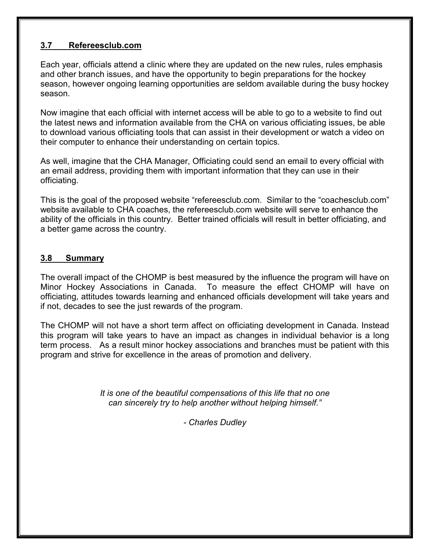#### **3.7 Refereesclub.com**

Each year, officials attend a clinic where they are updated on the new rules, rules emphasis and other branch issues, and have the opportunity to begin preparations for the hockey season, however ongoing learning opportunities are seldom available during the busy hockey season.

Now imagine that each official with internet access will be able to go to a website to find out the latest news and information available from the CHA on various officiating issues, be able to download various officiating tools that can assist in their development or watch a video on their computer to enhance their understanding on certain topics.

As well, imagine that the CHA Manager, Officiating could send an email to every official with an email address, providing them with important information that they can use in their officiating.

This is the goal of the proposed website "refereesclub.com. Similar to the "coachesclub.com" website available to CHA coaches, the refereesclub.com website will serve to enhance the ability of the officials in this country. Better trained officials will result in better officiating, and a better game across the country.

#### **3.8 Summary**

The overall impact of the CHOMP is best measured by the influence the program will have on Minor Hockey Associations in Canada. To measure the effect CHOMP will have on officiating, attitudes towards learning and enhanced officials development will take years and if not, decades to see the just rewards of the program.

The CHOMP will not have a short term affect on officiating development in Canada. Instead this program will take years to have an impact as changes in individual behavior is a long term process. As a result minor hockey associations and branches must be patient with this program and strive for excellence in the areas of promotion and delivery.

> *It is one of the beautiful compensations of this life that no one can sincerely try to help another without helping himself."*

> > *- Charles Dudley*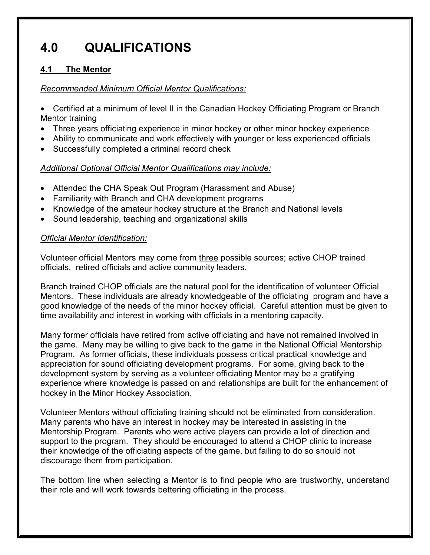# **4.0 QUALIFICATIONS**

#### **4.1 The Mentor**

#### *Recommended Minimum Official Mentor Qualifications:*

• Certified at a minimum of level II in the Canadian Hockey Officiating Program or Branch Mentor training

- Three years officiating experience in minor hockey or other minor hockey experience
- Ability to communicate and work effectively with younger or less experienced officials
- Successfully completed a criminal record check

#### *Additional Optional Official Mentor Qualifications may include:*

- Attended the CHA Speak Out Program (Harassment and Abuse)
- Familiarity with Branch and CHA development programs
- Knowledge of the amateur hockey structure at the Branch and National levels
- Sound leadership, teaching and organizational skills

#### *Official Mentor Identification:*

Volunteer official Mentors may come from three possible sources; active CHOP trained officials, retired officials and active community leaders.

Branch trained CHOP officials are the natural pool for the identification of volunteer Official Mentors. These individuals are already knowledgeable of the officiating program and have a good knowledge of the needs of the minor hockey official. Careful attention must be given to time availability and interest in working with officials in a mentoring capacity.

Many former officials have retired from active officiating and have not remained involved in the game. Many may be willing to give back to the game in the National Official Mentorship Program. As former officials, these individuals possess critical practical knowledge and appreciation for sound officiating development programs. For some, giving back to the development system by serving as a volunteer officiating Mentor may be a gratifying experience where knowledge is passed on and relationships are built for the enhancement of hockey in the Minor Hockey Association.

Volunteer Mentors without officiating training should not be eliminated from consideration. Many parents who have an interest in hockey may be interested in assisting in the Mentorship Program. Parents who were active players can provide a lot of direction and support to the program. They should be encouraged to attend a CHOP clinic to increase their knowledge of the officiating aspects of the game, but failing to do so should not discourage them from participation.

The bottom line when selecting a Mentor is to find people who are trustworthy, understand their role and will work towards bettering officiating in the process.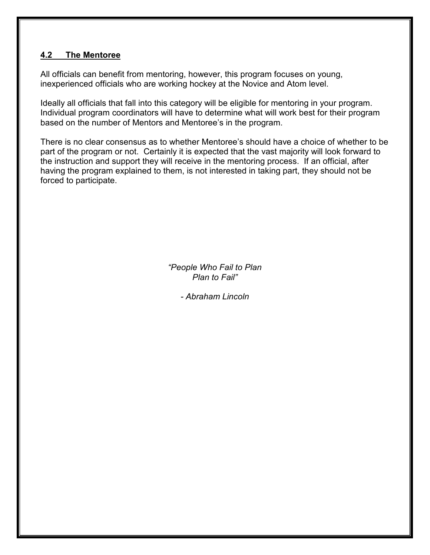#### **4.2 The Mentoree**

All officials can benefit from mentoring, however, this program focuses on young, inexperienced officials who are working hockey at the Novice and Atom level.

Ideally all officials that fall into this category will be eligible for mentoring in your program. Individual program coordinators will have to determine what will work best for their program based on the number of Mentors and Mentoree's in the program.

There is no clear consensus as to whether Mentoree's should have a choice of whether to be part of the program or not. Certainly it is expected that the vast majority will look forward to the instruction and support they will receive in the mentoring process. If an official, after having the program explained to them, is not interested in taking part, they should not be forced to participate.

> *"People Who Fail to Plan Plan to Fail"*

> > *- Abraham Lincoln*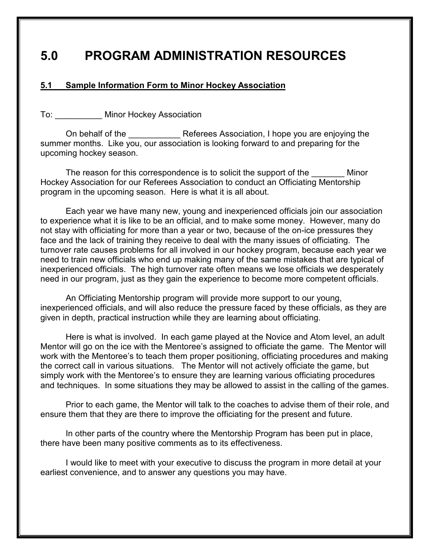### **5.0 PROGRAM ADMINISTRATION RESOURCES**

#### **5.1 Sample Information Form to Minor Hockey Association**

To: Minor Hockey Association

On behalf of the **Example 20** Referees Association, I hope you are enjoying the summer months. Like you, our association is looking forward to and preparing for the upcoming hockey season.

The reason for this correspondence is to solicit the support of the Minor Hockey Association for our Referees Association to conduct an Officiating Mentorship program in the upcoming season. Here is what it is all about.

 Each year we have many new, young and inexperienced officials join our association to experience what it is like to be an official, and to make some money. However, many do not stay with officiating for more than a year or two, because of the on-ice pressures they face and the lack of training they receive to deal with the many issues of officiating. The turnover rate causes problems for all involved in our hockey program, because each year we need to train new officials who end up making many of the same mistakes that are typical of inexperienced officials. The high turnover rate often means we lose officials we desperately need in our program, just as they gain the experience to become more competent officials.

 An Officiating Mentorship program will provide more support to our young, inexperienced officials, and will also reduce the pressure faced by these officials, as they are given in depth, practical instruction while they are learning about officiating.

 Here is what is involved. In each game played at the Novice and Atom level, an adult Mentor will go on the ice with the Mentoree's assigned to officiate the game. The Mentor will work with the Mentoree's to teach them proper positioning, officiating procedures and making the correct call in various situations. The Mentor will not actively officiate the game, but simply work with the Mentoree's to ensure they are learning various officiating procedures and techniques. In some situations they may be allowed to assist in the calling of the games.

 Prior to each game, the Mentor will talk to the coaches to advise them of their role, and ensure them that they are there to improve the officiating for the present and future.

 In other parts of the country where the Mentorship Program has been put in place, there have been many positive comments as to its effectiveness.

 I would like to meet with your executive to discuss the program in more detail at your earliest convenience, and to answer any questions you may have.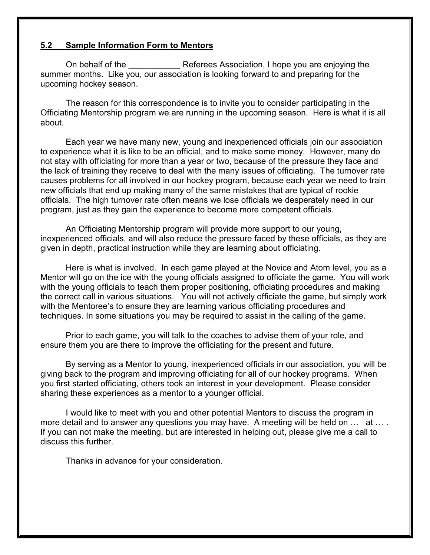#### **5.2 Sample Information Form to Mentors**

On behalf of the **Referees Association, I hope you are enjoying the** summer months. Like you, our association is looking forward to and preparing for the upcoming hockey season.

 The reason for this correspondence is to invite you to consider participating in the Officiating Mentorship program we are running in the upcoming season. Here is what it is all about.

 Each year we have many new, young and inexperienced officials join our association to experience what it is like to be an official, and to make some money. However, many do not stay with officiating for more than a year or two, because of the pressure they face and the lack of training they receive to deal with the many issues of officiating. The turnover rate causes problems for all involved in our hockey program, because each year we need to train new officials that end up making many of the same mistakes that are typical of rookie officials. The high turnover rate often means we lose officials we desperately need in our program, just as they gain the experience to become more competent officials.

 An Officiating Mentorship program will provide more support to our young, inexperienced officials, and will also reduce the pressure faced by these officials, as they are given in depth, practical instruction while they are learning about officiating.

 Here is what is involved. In each game played at the Novice and Atom level, you as a Mentor will go on the ice with the young officials assigned to officiate the game. You will work with the young officials to teach them proper positioning, officiating procedures and making the correct call in various situations. You will not actively officiate the game, but simply work with the Mentoree's to ensure they are learning various officiating procedures and techniques. In some situations you may be required to assist in the calling of the game.

 Prior to each game, you will talk to the coaches to advise them of your role, and ensure them you are there to improve the officiating for the present and future.

 By serving as a Mentor to young, inexperienced officials in our association, you will be giving back to the program and improving officiating for all of our hockey programs. When you first started officiating, others took an interest in your development. Please consider sharing these experiences as a mentor to a younger official.

 I would like to meet with you and other potential Mentors to discuss the program in more detail and to answer any questions you may have. A meeting will be held on … at … . If you can not make the meeting, but are interested in helping out, please give me a call to discuss this further.

Thanks in advance for your consideration.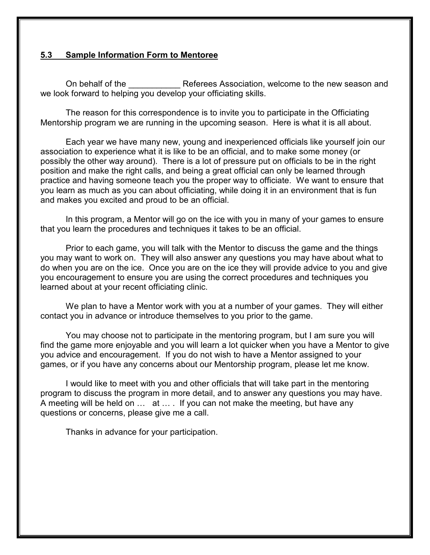#### **5.3 Sample Information Form to Mentoree**

On behalf of the **Example 20** Referees Association, welcome to the new season and we look forward to helping you develop your officiating skills.

 The reason for this correspondence is to invite you to participate in the Officiating Mentorship program we are running in the upcoming season. Here is what it is all about.

 Each year we have many new, young and inexperienced officials like yourself join our association to experience what it is like to be an official, and to make some money (or possibly the other way around). There is a lot of pressure put on officials to be in the right position and make the right calls, and being a great official can only be learned through practice and having someone teach you the proper way to officiate. We want to ensure that you learn as much as you can about officiating, while doing it in an environment that is fun and makes you excited and proud to be an official.

 In this program, a Mentor will go on the ice with you in many of your games to ensure that you learn the procedures and techniques it takes to be an official.

 Prior to each game, you will talk with the Mentor to discuss the game and the things you may want to work on. They will also answer any questions you may have about what to do when you are on the ice. Once you are on the ice they will provide advice to you and give you encouragement to ensure you are using the correct procedures and techniques you learned about at your recent officiating clinic.

 We plan to have a Mentor work with you at a number of your games. They will either contact you in advance or introduce themselves to you prior to the game.

 You may choose not to participate in the mentoring program, but I am sure you will find the game more enjoyable and you will learn a lot quicker when you have a Mentor to give you advice and encouragement. If you do not wish to have a Mentor assigned to your games, or if you have any concerns about our Mentorship program, please let me know.

 I would like to meet with you and other officials that will take part in the mentoring program to discuss the program in more detail, and to answer any questions you may have. A meeting will be held on … at … . If you can not make the meeting, but have any questions or concerns, please give me a call.

Thanks in advance for your participation.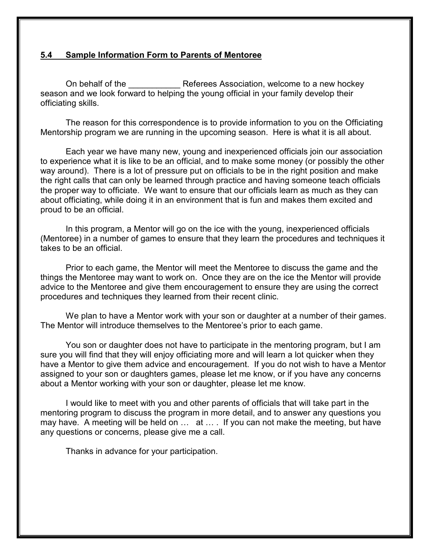#### **5.4 Sample Information Form to Parents of Mentoree**

On behalf of the **Example 20** Referees Association, welcome to a new hockey season and we look forward to helping the young official in your family develop their officiating skills.

 The reason for this correspondence is to provide information to you on the Officiating Mentorship program we are running in the upcoming season. Here is what it is all about.

 Each year we have many new, young and inexperienced officials join our association to experience what it is like to be an official, and to make some money (or possibly the other way around). There is a lot of pressure put on officials to be in the right position and make the right calls that can only be learned through practice and having someone teach officials the proper way to officiate. We want to ensure that our officials learn as much as they can about officiating, while doing it in an environment that is fun and makes them excited and proud to be an official.

 In this program, a Mentor will go on the ice with the young, inexperienced officials (Mentoree) in a number of games to ensure that they learn the procedures and techniques it takes to be an official.

 Prior to each game, the Mentor will meet the Mentoree to discuss the game and the things the Mentoree may want to work on. Once they are on the ice the Mentor will provide advice to the Mentoree and give them encouragement to ensure they are using the correct procedures and techniques they learned from their recent clinic.

 We plan to have a Mentor work with your son or daughter at a number of their games. The Mentor will introduce themselves to the Mentoree's prior to each game.

 You son or daughter does not have to participate in the mentoring program, but I am sure you will find that they will enjoy officiating more and will learn a lot quicker when they have a Mentor to give them advice and encouragement. If you do not wish to have a Mentor assigned to your son or daughters games, please let me know, or if you have any concerns about a Mentor working with your son or daughter, please let me know.

 I would like to meet with you and other parents of officials that will take part in the mentoring program to discuss the program in more detail, and to answer any questions you may have. A meeting will be held on … at … . If you can not make the meeting, but have any questions or concerns, please give me a call.

Thanks in advance for your participation.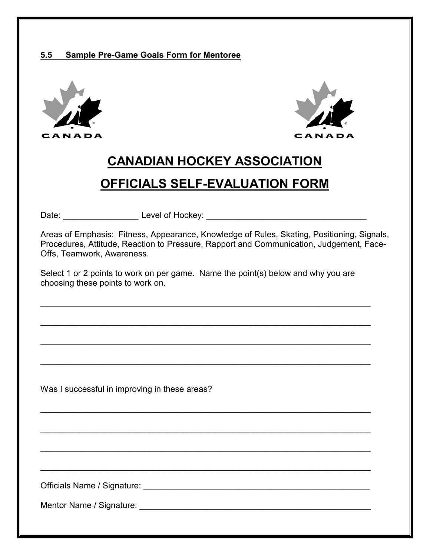#### **5.5 Sample Pre-Game Goals Form for Mentoree**





# **CANADIAN HOCKEY ASSOCIATION OFFICIALS SELF-EVALUATION FORM**

Date: example be the Level of Hockey:  $\Box$ 

Areas of Emphasis: Fitness, Appearance, Knowledge of Rules, Skating, Positioning, Signals, Procedures, Attitude, Reaction to Pressure, Rapport and Communication, Judgement, Face-Offs, Teamwork, Awareness.

Select 1 or 2 points to work on per game. Name the point(s) below and why you are choosing these points to work on.

 $\_$ 

\_\_\_\_\_\_\_\_\_\_\_\_\_\_\_\_\_\_\_\_\_\_\_\_\_\_\_\_\_\_\_\_\_\_\_\_\_\_\_\_\_\_\_\_\_\_\_\_\_\_\_\_\_\_\_\_\_\_\_\_\_\_\_\_\_\_\_\_\_\_

 $\_$ 

\_\_\_\_\_\_\_\_\_\_\_\_\_\_\_\_\_\_\_\_\_\_\_\_\_\_\_\_\_\_\_\_\_\_\_\_\_\_\_\_\_\_\_\_\_\_\_\_\_\_\_\_\_\_\_\_\_\_\_\_\_\_\_\_\_\_\_\_\_\_

\_\_\_\_\_\_\_\_\_\_\_\_\_\_\_\_\_\_\_\_\_\_\_\_\_\_\_\_\_\_\_\_\_\_\_\_\_\_\_\_\_\_\_\_\_\_\_\_\_\_\_\_\_\_\_\_\_\_\_\_\_\_\_\_\_\_\_\_\_\_

\_\_\_\_\_\_\_\_\_\_\_\_\_\_\_\_\_\_\_\_\_\_\_\_\_\_\_\_\_\_\_\_\_\_\_\_\_\_\_\_\_\_\_\_\_\_\_\_\_\_\_\_\_\_\_\_\_\_\_\_\_\_\_\_\_\_\_\_\_\_

 $\_$ 

\_\_\_\_\_\_\_\_\_\_\_\_\_\_\_\_\_\_\_\_\_\_\_\_\_\_\_\_\_\_\_\_\_\_\_\_\_\_\_\_\_\_\_\_\_\_\_\_\_\_\_\_\_\_\_\_\_\_\_\_\_\_\_\_\_\_\_\_\_\_

Was I successful in improving in these areas?

Officials Name / Signature: **Example 2018** 

Mentor Name / Signature: \_\_\_\_\_\_\_\_\_\_\_\_\_\_\_\_\_\_\_\_\_\_\_\_\_\_\_\_\_\_\_\_\_\_\_\_\_\_\_\_\_\_\_\_\_\_\_\_\_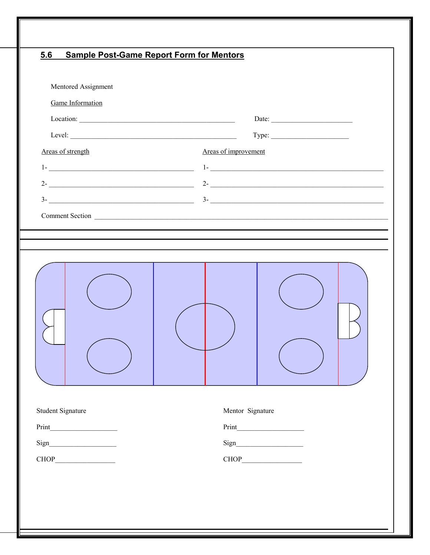| Mentored Assignment      |                      |
|--------------------------|----------------------|
| <b>Game Information</b>  |                      |
|                          |                      |
|                          |                      |
| Areas of strength        | Areas of improvement |
|                          |                      |
|                          | $2-\frac{1}{2}$      |
|                          |                      |
|                          |                      |
|                          |                      |
|                          |                      |
|                          |                      |
| <b>Student Signature</b> | Mentor Signature     |
|                          |                      |
|                          |                      |
|                          |                      |
|                          |                      |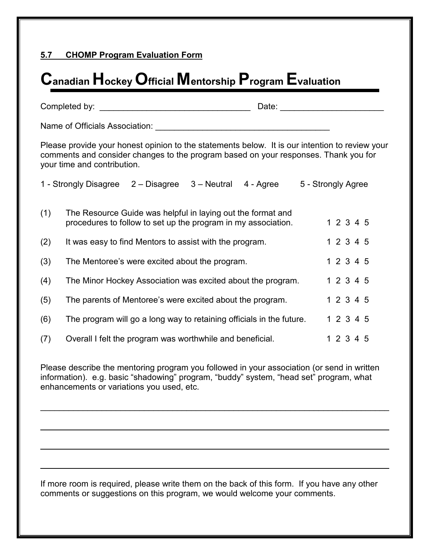#### **5.7 CHOMP Program Evaluation Form**

# **Canadian Hockey Official Mentorship Program Evaluation**

Completed by: \_\_\_\_\_\_\_\_\_\_\_\_\_\_\_\_\_\_\_\_\_\_\_\_\_\_\_\_\_\_\_\_ Date: \_\_\_\_\_\_\_\_\_\_\_\_\_\_\_\_\_\_\_\_\_\_

Name of Officials Association: **Name of Officials** Association:

Please provide your honest opinion to the statements below. It is our intention to review your comments and consider changes to the program based on your responses. Thank you for your time and contribution.

|     | 1 - Strongly Disagree                                                                                                        | $2 - Disagree$ | 3 – Neutral | 4 - Agree | 5 - Strongly Agree |  |
|-----|------------------------------------------------------------------------------------------------------------------------------|----------------|-------------|-----------|--------------------|--|
| (1) | The Resource Guide was helpful in laying out the format and<br>procedures to follow to set up the program in my association. |                |             |           | 1 2 3 4 5          |  |
| (2) | It was easy to find Mentors to assist with the program.                                                                      |                |             |           | 1 2 3 4 5          |  |
| (3) | The Mentoree's were excited about the program.                                                                               |                |             |           | 1 2 3 4 5          |  |
| (4) | The Minor Hockey Association was excited about the program.                                                                  |                |             |           | 1 2 3 4 5          |  |
| (5) | The parents of Mentoree's were excited about the program.                                                                    |                |             |           | 1 2 3 4 5          |  |
| (6) | The program will go a long way to retaining officials in the future.                                                         |                |             |           | 1 2 3 4 5          |  |
| (7) | Overall I felt the program was worthwhile and beneficial.                                                                    |                |             |           | 1 2 3 4 5          |  |

Please describe the mentoring program you followed in your association (or send in written information). e.g. basic "shadowing" program, "buddy" system, "head set" program, what enhancements or variations you used, etc.

 $\mathcal{L}_\mathcal{L} = \mathcal{L}_\mathcal{L} = \mathcal{L}_\mathcal{L} = \mathcal{L}_\mathcal{L} = \mathcal{L}_\mathcal{L} = \mathcal{L}_\mathcal{L} = \mathcal{L}_\mathcal{L} = \mathcal{L}_\mathcal{L} = \mathcal{L}_\mathcal{L} = \mathcal{L}_\mathcal{L} = \mathcal{L}_\mathcal{L} = \mathcal{L}_\mathcal{L} = \mathcal{L}_\mathcal{L} = \mathcal{L}_\mathcal{L} = \mathcal{L}_\mathcal{L} = \mathcal{L}_\mathcal{L} = \mathcal{L}_\mathcal{L}$ 

 $\mathcal{L}_\mathcal{L} = \mathcal{L}_\mathcal{L} = \mathcal{L}_\mathcal{L} = \mathcal{L}_\mathcal{L} = \mathcal{L}_\mathcal{L} = \mathcal{L}_\mathcal{L} = \mathcal{L}_\mathcal{L} = \mathcal{L}_\mathcal{L} = \mathcal{L}_\mathcal{L} = \mathcal{L}_\mathcal{L} = \mathcal{L}_\mathcal{L} = \mathcal{L}_\mathcal{L} = \mathcal{L}_\mathcal{L} = \mathcal{L}_\mathcal{L} = \mathcal{L}_\mathcal{L} = \mathcal{L}_\mathcal{L} = \mathcal{L}_\mathcal{L}$ 

 $\mathcal{L}_\mathcal{L} = \mathcal{L}_\mathcal{L} = \mathcal{L}_\mathcal{L} = \mathcal{L}_\mathcal{L} = \mathcal{L}_\mathcal{L} = \mathcal{L}_\mathcal{L} = \mathcal{L}_\mathcal{L} = \mathcal{L}_\mathcal{L} = \mathcal{L}_\mathcal{L} = \mathcal{L}_\mathcal{L} = \mathcal{L}_\mathcal{L} = \mathcal{L}_\mathcal{L} = \mathcal{L}_\mathcal{L} = \mathcal{L}_\mathcal{L} = \mathcal{L}_\mathcal{L} = \mathcal{L}_\mathcal{L} = \mathcal{L}_\mathcal{L}$ 

 $\mathcal{L}_\mathcal{L} = \mathcal{L}_\mathcal{L} = \mathcal{L}_\mathcal{L} = \mathcal{L}_\mathcal{L} = \mathcal{L}_\mathcal{L} = \mathcal{L}_\mathcal{L} = \mathcal{L}_\mathcal{L} = \mathcal{L}_\mathcal{L} = \mathcal{L}_\mathcal{L} = \mathcal{L}_\mathcal{L} = \mathcal{L}_\mathcal{L} = \mathcal{L}_\mathcal{L} = \mathcal{L}_\mathcal{L} = \mathcal{L}_\mathcal{L} = \mathcal{L}_\mathcal{L} = \mathcal{L}_\mathcal{L} = \mathcal{L}_\mathcal{L}$ 

If more room is required, please write them on the back of this form. If you have any other comments or suggestions on this program, we would welcome your comments.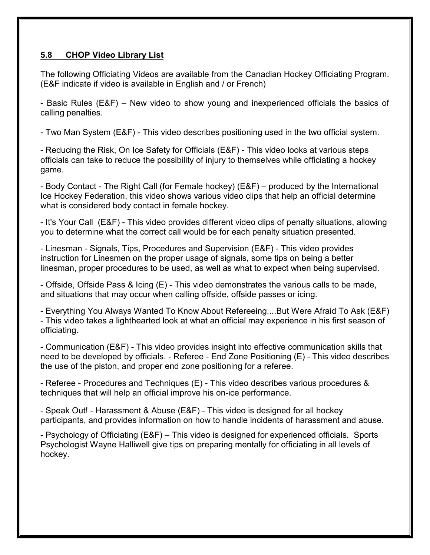#### **5.8 CHOP Video Library List**

The following Officiating Videos are available from the Canadian Hockey Officiating Program. (E&F indicate if video is available in English and / or French)

- Basic Rules (E&F) – New video to show young and inexperienced officials the basics of calling penalties.

- Two Man System (E&F) - This video describes positioning used in the two official system.

- Reducing the Risk, On Ice Safety for Officials (E&F) - This video looks at various steps officials can take to reduce the possibility of injury to themselves while officiating a hockey game.

- Body Contact - The Right Call (for Female hockey) (E&F) – produced by the International Ice Hockey Federation, this video shows various video clips that help an official determine what is considered body contact in female hockey.

- It's Your Call (E&F) - This video provides different video clips of penalty situations, allowing you to determine what the correct call would be for each penalty situation presented.

- Linesman - Signals, Tips, Procedures and Supervision (E&F) - This video provides instruction for Linesmen on the proper usage of signals, some tips on being a better linesman, proper procedures to be used, as well as what to expect when being supervised.

- Offside, Offside Pass & Icing (E) - This video demonstrates the various calls to be made, and situations that may occur when calling offside, offside passes or icing.

- Everything You Always Wanted To Know About Refereeing....But Were Afraid To Ask (E&F) - This video takes a lighthearted look at what an official may experience in his first season of officiating.

- Communication (E&F) - This video provides insight into effective communication skills that need to be developed by officials. - Referee - End Zone Positioning (E) - This video describes the use of the piston, and proper end zone positioning for a referee.

- Referee - Procedures and Techniques (E) - This video describes various procedures & techniques that will help an official improve his on-ice performance.

- Speak Out! - Harassment & Abuse (E&F) - This video is designed for all hockey participants, and provides information on how to handle incidents of harassment and abuse.

- Psychology of Officiating (E&F) – This video is designed for experienced officials. Sports Psychologist Wayne Halliwell give tips on preparing mentally for officiating in all levels of hockey.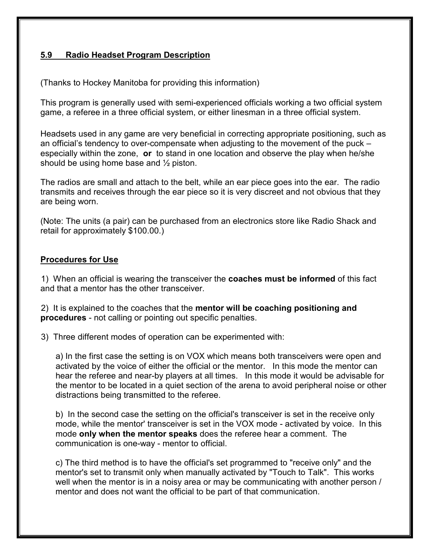#### **5.9 Radio Headset Program Description**

(Thanks to Hockey Manitoba for providing this information)

This program is generally used with semi-experienced officials working a two official system game, a referee in a three official system, or either linesman in a three official system.

Headsets used in any game are very beneficial in correcting appropriate positioning, such as an official's tendency to over-compensate when adjusting to the movement of the puck – especially within the zone, **or** to stand in one location and observe the play when he/she should be using home base and ½ piston.

The radios are small and attach to the belt, while an ear piece goes into the ear. The radio transmits and receives through the ear piece so it is very discreet and not obvious that they are being worn.

(Note: The units (a pair) can be purchased from an electronics store like Radio Shack and retail for approximately \$100.00.)

#### **Procedures for Use**

1) When an official is wearing the transceiver the **coaches must be informed** of this fact and that a mentor has the other transceiver.

2) It is explained to the coaches that the **mentor will be coaching positioning and procedures** - not calling or pointing out specific penalties.

3) Three different modes of operation can be experimented with:

 a) In the first case the setting is on VOX which means both transceivers were open and activated by the voice of either the official or the mentor. In this mode the mentor can hear the referee and near-by players at all times. In this mode it would be advisable for the mentor to be located in a quiet section of the arena to avoid peripheral noise or other distractions being transmitted to the referee.

 b) In the second case the setting on the official's transceiver is set in the receive only mode, while the mentor' transceiver is set in the VOX mode - activated by voice. In this mode **only when the mentor speaks** does the referee hear a comment. The communication is one-way - mentor to official.

 c) The third method is to have the official's set programmed to "receive only" and the mentor's set to transmit only when manually activated by "Touch to Talk". This works well when the mentor is in a noisy area or may be communicating with another person / mentor and does not want the official to be part of that communication.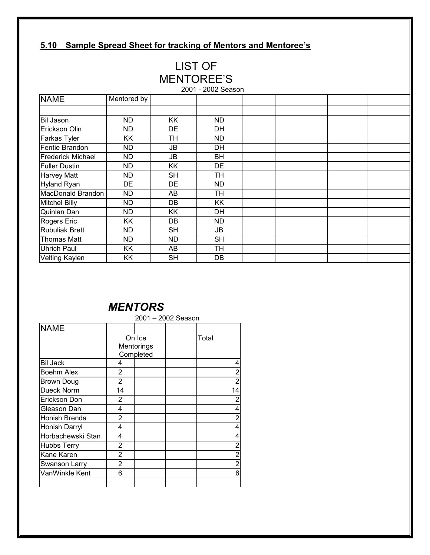### **5.10 Sample Spread Sheet for tracking of Mentors and Mentoree's**

|                          |             | <b>LIST OF</b><br><b>MENTOREE'S</b> | 2001 - 2002 Season |  |  |
|--------------------------|-------------|-------------------------------------|--------------------|--|--|
| <b>NAME</b>              | Mentored by |                                     |                    |  |  |
|                          |             |                                     |                    |  |  |
| <b>Bil Jason</b>         | <b>ND</b>   | <b>KK</b>                           | <b>ND</b>          |  |  |
| Erickson Olin            | <b>ND</b>   | <b>DE</b>                           | DH                 |  |  |
| Farkas Tyler             | <b>KK</b>   | <b>TH</b>                           | <b>ND</b>          |  |  |
| Fentie Brandon           | ND.         | <b>JB</b>                           | DH                 |  |  |
| <b>Frederick Michael</b> | ND.         | <b>JB</b>                           | <b>BH</b>          |  |  |
| <b>Fuller Dustin</b>     | ND.         | <b>KK</b>                           | DE                 |  |  |
| <b>Harvey Matt</b>       | <b>ND</b>   | <b>SH</b>                           | <b>TH</b>          |  |  |
| <b>Hyland Ryan</b>       | DE          | DE                                  | <b>ND</b>          |  |  |
| MacDonald Brandon        | <b>ND</b>   | AB                                  | <b>TH</b>          |  |  |
| <b>Mitchel Billy</b>     | ND.         | DB                                  | <b>KK</b>          |  |  |
| Quinlan Dan              | ND.         | KK                                  | DH                 |  |  |
| Rogers Eric              | <b>KK</b>   | DB                                  | <b>ND</b>          |  |  |
| <b>Rubuliak Brett</b>    | <b>ND</b>   | <b>SH</b>                           | JB                 |  |  |
| <b>Thomas Matt</b>       | <b>ND</b>   | <b>ND</b>                           | <b>SH</b>          |  |  |
| <b>Uhrich Paul</b>       | KK          | AB                                  | <b>TH</b>          |  |  |
| <b>Velting Kaylen</b>    | KK          | <b>SH</b>                           | DB                 |  |  |

### *MENTORS*

|                    |                |                                   | 2001 - 2002 Season |                |
|--------------------|----------------|-----------------------------------|--------------------|----------------|
| <b>NAME</b>        |                |                                   |                    |                |
|                    |                | On Ice<br>Mentorings<br>Completed |                    | Total          |
| <b>Bil Jack</b>    | 4              |                                   |                    | 4              |
| Boehm Alex         | 2              |                                   |                    | 2              |
| <b>Brown Doug</b>  | $\overline{2}$ |                                   |                    | $\overline{2}$ |
| Dueck Norm         | 14             |                                   |                    | 14             |
| Erickson Don       | 2              |                                   |                    | 2              |
| Gleason Dan        | 4              |                                   |                    | 4              |
| Honish Brenda      | 2              |                                   |                    | 2              |
| Honish Darryl      | 4              |                                   |                    | 4              |
| Horbachewski Stan  | 4              |                                   |                    | 4              |
| <b>Hubbs Terry</b> | 2              |                                   |                    | 2              |
| Kane Karen         | $\overline{2}$ |                                   |                    | $\overline{2}$ |
| Swanson Larry      | 2              |                                   |                    | $\overline{2}$ |
| VanWinkle Kent     | 6              |                                   |                    | 6              |
|                    |                |                                   |                    |                |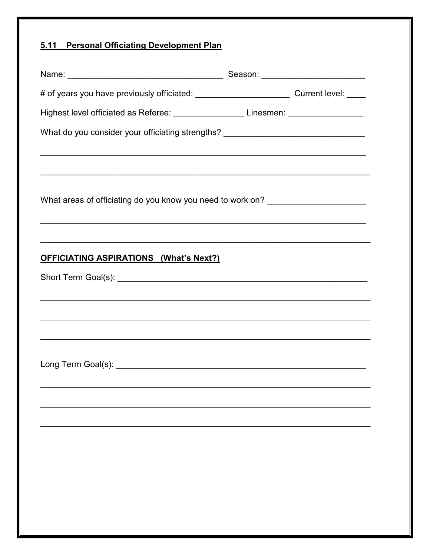### 5.11 Personal Officiating Development Plan

| # of years you have previously officiated: ______________________________Current level: _____                         |  |
|-----------------------------------------------------------------------------------------------------------------------|--|
| Highest level officiated as Referee: ______________________Linesmen: __________________                               |  |
| What do you consider your officiating strengths? _______________________________                                      |  |
|                                                                                                                       |  |
| <u> 1989 - Johann Harry Harry Harry Harry Harry Harry Harry Harry Harry Harry Harry Harry Harry Harry Harry Harry</u> |  |
| What areas of officiating do you know you need to work on? _____________________                                      |  |
|                                                                                                                       |  |
|                                                                                                                       |  |
| <b>OFFICIATING ASPIRATIONS (What's Next?)</b>                                                                         |  |
|                                                                                                                       |  |
|                                                                                                                       |  |
| ,我们也不会有什么?""我们的人,我们也不会有什么?""我们的人,我们也不会有什么?""我们的人,我们也不会有什么?""我们的人,我们也不会有什么?""我们的人                                      |  |
|                                                                                                                       |  |
|                                                                                                                       |  |
| Long Term Goal(s):                                                                                                    |  |
|                                                                                                                       |  |
|                                                                                                                       |  |
|                                                                                                                       |  |
|                                                                                                                       |  |
|                                                                                                                       |  |
|                                                                                                                       |  |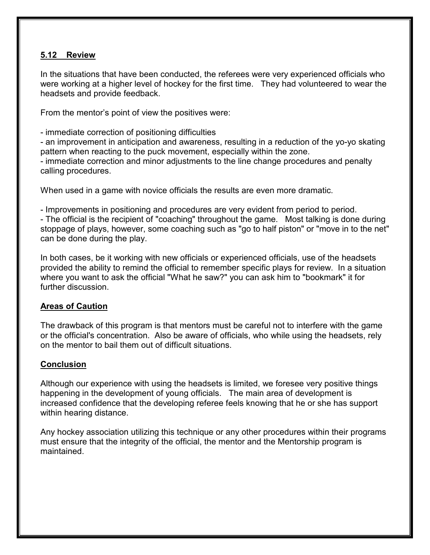#### **5.12 Review**

In the situations that have been conducted, the referees were very experienced officials who were working at a higher level of hockey for the first time. They had volunteered to wear the headsets and provide feedback.

From the mentor's point of view the positives were:

- immediate correction of positioning difficulties

- an improvement in anticipation and awareness, resulting in a reduction of the yo-yo skating pattern when reacting to the puck movement, especially within the zone. - immediate correction and minor adjustments to the line change procedures and penalty calling procedures.

When used in a game with novice officials the results are even more dramatic.

- Improvements in positioning and procedures are very evident from period to period. - The official is the recipient of "coaching" throughout the game. Most talking is done during stoppage of plays, however, some coaching such as "go to half piston" or "move in to the net" can be done during the play.

In both cases, be it working with new officials or experienced officials, use of the headsets provided the ability to remind the official to remember specific plays for review. In a situation where you want to ask the official "What he saw?" you can ask him to "bookmark" it for further discussion.

#### **Areas of Caution**

The drawback of this program is that mentors must be careful not to interfere with the game or the official's concentration. Also be aware of officials, who while using the headsets, rely on the mentor to bail them out of difficult situations.

#### **Conclusion**

Although our experience with using the headsets is limited, we foresee very positive things happening in the development of young officials. The main area of development is increased confidence that the developing referee feels knowing that he or she has support within hearing distance.

Any hockey association utilizing this technique or any other procedures within their programs must ensure that the integrity of the official, the mentor and the Mentorship program is maintained.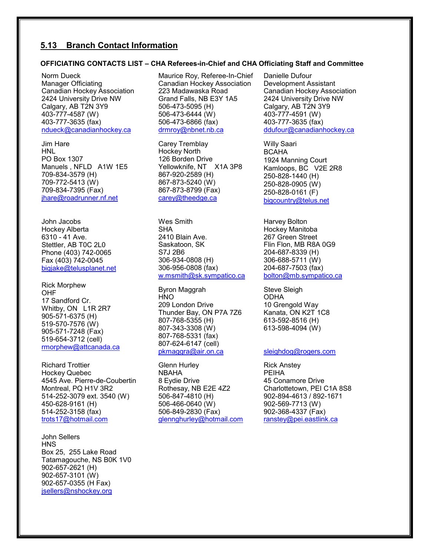#### **5.13 Branch Contact Information**

#### **OFFICIATING CONTACTS LIST – CHA Referees-in-Chief and CHA Officiating Staff and Committee**

Norm Dueck Manager Officiating Canadian Hockey Association 2424 University Drive NW Calgary, AB T2N 3Y9 403-777-4587 (W) 403-777-3635 (fax) [ndueck@canadianhockey.ca](mailto:ndueck@canadianhockey.ca)

Jim Hare HNL PO Box 1307 Manuels , NFLD A1W 1E5 709-834-3579 (H) 709-772-5413 (W) 709-834-7395 (Fax) [jhare@roadrunner.nf.net](mailto:jhare@roadrunner.nf.net)

John Jacobs Hockey Alberta 6310 - 41 Ave. Stettler, AB T0C 2L0 Phone (403) 742-0065 Fax (403) 742-0045 [bigjake@telusplanet.net](mailto:bigjake@telusplanet.net)

Rick Morphew OHF 17 Sandford Cr. Whitby, ON L1R 2R7 905-571-6375 (H) 519-570-7576 (W) 905-571-7248 (Fax) 519-654-3712 (cell) [rmorphew@attcanada.ca](mailto:rmorphew@attcanada.ca)

Richard Trottier Hockey Quebec 4545 Ave. Pierre-de-Coubertin Montreal, PQ H1V 3R2 514-252-3079 ext. 3540 (W) 450-628-9161 (H) 514-252-3158 (fax) [trots17@hotmail.com](mailto:trots17@hotmail.com)

John Sellers **HNS** Box 25, 255 Lake Road Tatamagouche, NS B0K 1V0 902-657-2621 (H) 902-657-3101 (W) 902-657-0355 (H Fax) [jsellers@nshockey.org](mailto:jsellers@nshockey.org)

Maurice Roy, Referee-In-Chief Canadian Hockey Association 223 Madawaska Road Grand Falls, NB E3Y 1A5 506-473-5095 (H) 506-473-6444 (W) 506-473-6866 (fax) [drmroy@nbnet.nb.ca](mailto:drmroy@nbnet.nb.ca)

Carey Tremblay Hockey North 126 Borden Drive Yellowknife, NT X1A 3P8 867-920-2589 (H) 867-873-5240 (W) 867-873-8799 (Fax) [carey@theedge.ca](mailto:carey@theedge.ca)

Wes Smith SHA 2410 Blain Ave. Saskatoon, SK S7J 2B6 306-934-0808 (H) 306-956-0808 (fax) [w.msmith@sk.sympatico.ca](mailto:w.msmith@sk.sympatico.ca)

Byron Maggrah HNO 209 London Drive Thunder Bay, ON P7A 7Z6 807-768-5355 (H) 807-343-3308 (W) 807-768-5331 (fax) 807-624-6147 (cell) [pkmaggra@air.on.ca](mailto:pkmaggra@air.on.ca)

Glenn Hurley NBAHA 8 Eydie Drive Rothesay, NB E2E 4Z2 506-847-4810 (H) 506-466-0640 (W) 506-849-2830 (Fax) [glennghurley@hotmail.com](mailto:glennghurley@hotmail.com) Danielle Dufour Development Assistant Canadian Hockey Association 2424 University Drive NW Calgary, AB T2N 3Y9 403-777-4591 (W) 403-777-3635 (fax) [ddufour@canadianhockey.ca](mailto:ddufour@canadianhockey.ca)

Willy Saari BCAHA 1924 Manning Court Kamloops, BC V2E 2R8 250-828-1440 (H) 250-828-0905 (W) 250-828-0161 (F) [bigcountry@telus.net](mailto:bigcountry@telusplanet.net)

Harvey Bolton Hockey Manitoba 267 Green Street Flin Flon, MB R8A 0G9 204-687-8339 (H) 306-688-5711 (W) 204-687-7503 (fax) [bolton@mb.sympatico.ca](mailto:bolton@mb.sympatico.ca)

Steve Sleigh ODHA 10 Grengold Way Kanata, ON K2T 1C8 613-592-8516 (H) 613-598-4094 (W)

#### [sleighdog@rogers.com](mailto:sleighdog@home.com)

Rick Anstey PEIHA 45 Conamore Drive Charlottetown, PEI C1A 8S8 902-894-4613 / 892-1671 902-569-7713 (W) 902-368-4337 (Fax) [ranstey@pei.eastlink.ca](mailto:ranstey@pei.eastlink.ca)